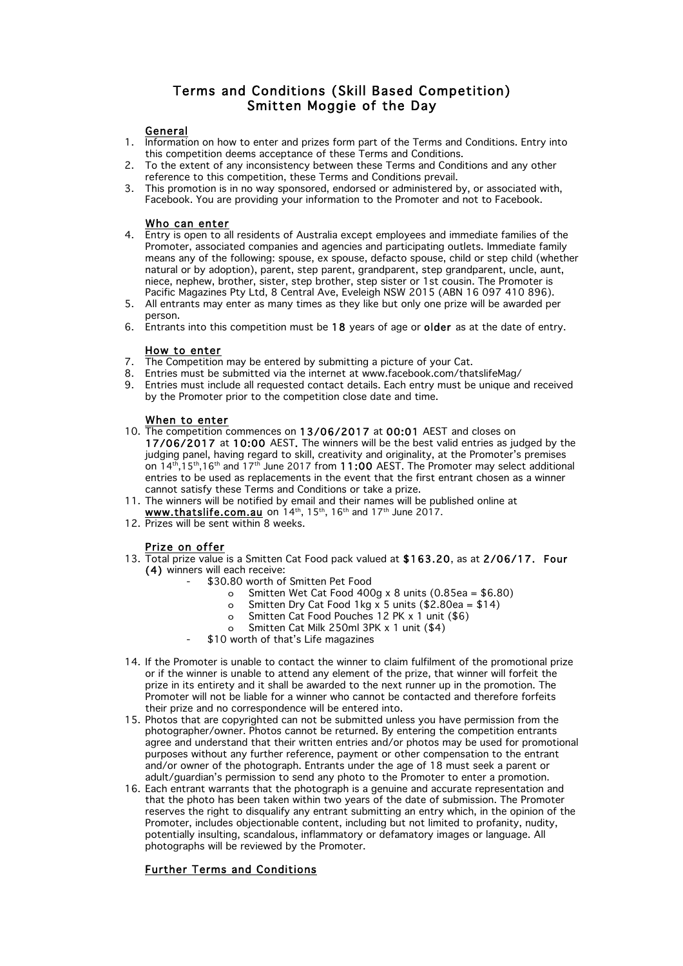# Terms and Conditions (Skill Based Competition) Smitten Moggie of the Day

### General

- 1. Information on how to enter and prizes form part of the Terms and Conditions. Entry into this competition deems acceptance of these Terms and Conditions.
- 2. To the extent of any inconsistency between these Terms and Conditions and any other reference to this competition, these Terms and Conditions prevail.
- 3. This promotion is in no way sponsored, endorsed or administered by, or associated with, Facebook. You are providing your information to the Promoter and not to Facebook.

#### Who can enter

- 4. Entry is open to all residents of Australia except employees and immediate families of the Promoter, associated companies and agencies and participating outlets. Immediate family means any of the following: spouse, ex spouse, defacto spouse, child or step child (whether natural or by adoption), parent, step parent, grandparent, step grandparent, uncle, aunt, niece, nephew, brother, sister, step brother, step sister or 1st cousin. The Promoter is Pacific Magazines Pty Ltd, 8 Central Ave, Eveleigh NSW 2015 (ABN 16 097 410 896).
- 5. All entrants may enter as many times as they like but only one prize will be awarded per person.
- 6. Entrants into this competition must be 18 years of age or older as at the date of entry.

## How to enter

- 7. The Competition may be entered by submitting a picture of your Cat.
- 8. Entries must be submitted via the internet at www.facebook.com/thatslifeMag/
- 9. Entries must include all requested contact details. Each entry must be unique and received by the Promoter prior to the competition close date and time.

#### When to enter

- 10. The competition commences on 13/06/2017 at 00:01 AEST and closes on 17/06/2017 at 10:00 AEST. The winners will be the best valid entries as judged by the judging panel, having regard to skill, creativity and originality, at the Promoter's premises on  $14<sup>th</sup>$ ,  $15<sup>th</sup>$ ,  $16<sup>th</sup>$  and  $17<sup>th</sup>$  June 2017 from 11:00 AEST. The Promoter may select additional entries to be used as replacements in the event that the first entrant chosen as a winner cannot satisfy these Terms and Conditions or take a prize.
- 11. The winners will be notified by email and their names will be published online at
- www.thatslife.com.au on  $14<sup>th</sup>$ , 15<sup>th</sup>, 16<sup>th</sup> and 17<sup>th</sup> June 2017.
- 12. Prizes will be sent within 8 weeks.

## Prize on offer

- 13. Total prize value is a Smitten Cat Food pack valued at \$163.20, as at 2/06/17. Four (4) winners will each receive:
	- \$30.80 worth of Smitten Pet Food
		- o Smitten Wet Cat Food 400g x 8 units  $(0.85ea = $6.80)$
		- o Smitten Dry Cat Food 1kg x 5 units  $(\$2.80ea = $14)$
		- o Smitten Cat Food Pouches 12 PK x 1 unit (\$6)
		- o Smitten Cat Milk 250ml 3PK x 1 unit (\$4)
	- \$10 worth of that's Life magazines
- 14. If the Promoter is unable to contact the winner to claim fulfilment of the promotional prize or if the winner is unable to attend any element of the prize, that winner will forfeit the prize in its entirety and it shall be awarded to the next runner up in the promotion. The Promoter will not be liable for a winner who cannot be contacted and therefore forfeits their prize and no correspondence will be entered into.
- 15. Photos that are copyrighted can not be submitted unless you have permission from the photographer/owner. Photos cannot be returned. By entering the competition entrants agree and understand that their written entries and/or photos may be used for promotional purposes without any further reference, payment or other compensation to the entrant and/or owner of the photograph. Entrants under the age of 18 must seek a parent or adult/guardian's permission to send any photo to the Promoter to enter a promotion.
- 16. Each entrant warrants that the photograph is a genuine and accurate representation and that the photo has been taken within two years of the date of submission. The Promoter reserves the right to disqualify any entrant submitting an entry which, in the opinion of the Promoter, includes objectionable content, including but not limited to profanity, nudity, potentially insulting, scandalous, inflammatory or defamatory images or language. All photographs will be reviewed by the Promoter.

## Further Terms and Conditions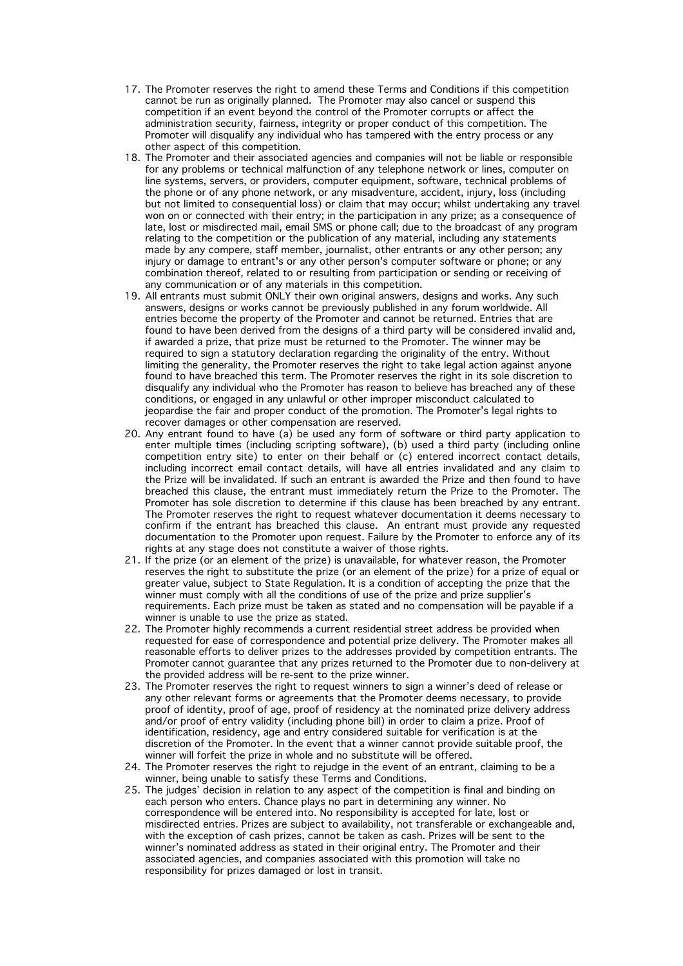- 17. The Promoter reserves the right to amend these Terms and Conditions if this competition cannot be run as originally planned. The Promoter may also cancel or suspend this competition if an event beyond the control of the Promoter corrupts or affect the administration security, fairness, integrity or proper conduct of this competition. The Promoter will disqualify any individual who has tampered with the entry process or any other aspect of this competition.
- 18. The Promoter and their associated agencies and companies will not be liable or responsible for any problems or technical malfunction of any telephone network or lines, computer on line systems, servers, or providers, computer equipment, software, technical problems of the phone or of any phone network, or any misadventure, accident, injury, loss (including but not limited to consequential loss) or claim that may occur; whilst undertaking any travel won on or connected with their entry; in the participation in any prize; as a consequence of late, lost or misdirected mail, email SMS or phone call; due to the broadcast of any program relating to the competition or the publication of any material, including any statements made by any compere, staff member, journalist, other entrants or any other person; any injury or damage to entrant's or any other person's computer software or phone; or any combination thereof, related to or resulting from participation or sending or receiving of any communication or of any materials in this competition.
- 19. All entrants must submit ONLY their own original answers, designs and works. Any such answers, designs or works cannot be previously published in any forum worldwide. All entries become the property of the Promoter and cannot be returned. Entries that are found to have been derived from the designs of a third party will be considered invalid and, if awarded a prize, that prize must be returned to the Promoter. The winner may be required to sign a statutory declaration regarding the originality of the entry. Without limiting the generality, the Promoter reserves the right to take legal action against anyone found to have breached this term. The Promoter reserves the right in its sole discretion to disqualify any individual who the Promoter has reason to believe has breached any of these conditions, or engaged in any unlawful or other improper misconduct calculated to jeopardise the fair and proper conduct of the promotion. The Promoter's legal rights to recover damages or other compensation are reserved.
- 20. Any entrant found to have (a) be used any form of software or third party application to enter multiple times (including scripting software), (b) used a third party (including online competition entry site) to enter on their behalf or (c) entered incorrect contact details, including incorrect email contact details, will have all entries invalidated and any claim to the Prize will be invalidated. If such an entrant is awarded the Prize and then found to have breached this clause, the entrant must immediately return the Prize to the Promoter. The Promoter has sole discretion to determine if this clause has been breached by any entrant. The Promoter reserves the right to request whatever documentation it deems necessary to confirm if the entrant has breached this clause. An entrant must provide any requested documentation to the Promoter upon request. Failure by the Promoter to enforce any of its rights at any stage does not constitute a waiver of those rights.
- 21. If the prize (or an element of the prize) is unavailable, for whatever reason, the Promoter reserves the right to substitute the prize (or an element of the prize) for a prize of equal or greater value, subject to State Regulation. It is a condition of accepting the prize that the winner must comply with all the conditions of use of the prize and prize supplier's requirements. Each prize must be taken as stated and no compensation will be payable if a winner is unable to use the prize as stated.
- 22. The Promoter highly recommends a current residential street address be provided when requested for ease of correspondence and potential prize delivery. The Promoter makes all reasonable efforts to deliver prizes to the addresses provided by competition entrants. The Promoter cannot guarantee that any prizes returned to the Promoter due to non-delivery at the provided address will be re-sent to the prize winner.
- 23. The Promoter reserves the right to request winners to sign a winner's deed of release or any other relevant forms or agreements that the Promoter deems necessary, to provide proof of identity, proof of age, proof of residency at the nominated prize delivery address and/or proof of entry validity (including phone bill) in order to claim a prize. Proof of identification, residency, age and entry considered suitable for verification is at the discretion of the Promoter. In the event that a winner cannot provide suitable proof, the winner will forfeit the prize in whole and no substitute will be offered.
- 24. The Promoter reserves the right to rejudge in the event of an entrant, claiming to be a winner, being unable to satisfy these Terms and Conditions.
- 25. The judges' decision in relation to any aspect of the competition is final and binding on each person who enters. Chance plays no part in determining any winner. No correspondence will be entered into. No responsibility is accepted for late, lost or misdirected entries. Prizes are subject to availability, not transferable or exchangeable and, with the exception of cash prizes, cannot be taken as cash. Prizes will be sent to the winner's nominated address as stated in their original entry. The Promoter and their associated agencies, and companies associated with this promotion will take no responsibility for prizes damaged or lost in transit.